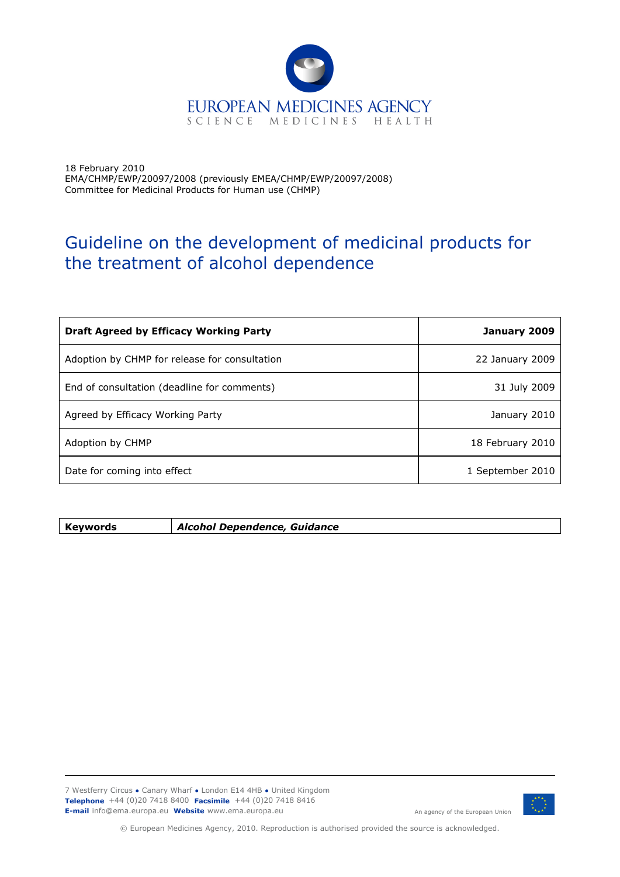

18 February 2010 EMA/CHMP/EWP/20097/2008 (previously EMEA/CHMP/EWP/20097/2008) Committee for Medicinal Products for Human use (CHMP)

# Guideline on the development of medicinal products for the treatment of alcohol dependence

| <b>Draft Agreed by Efficacy Working Party</b> | January 2009     |
|-----------------------------------------------|------------------|
| Adoption by CHMP for release for consultation | 22 January 2009  |
| End of consultation (deadline for comments)   | 31 July 2009     |
| Agreed by Efficacy Working Party              | January 2010     |
| Adoption by CHMP                              | 18 February 2010 |
| Date for coming into effect                   | 1 September 2010 |

**Keywords** *Alcohol Dependence, Guidance* 

7 Westferry Circus **●** Canary Wharf **●** London E14 4HB **●** United Kingdom **Telephone** +44 (0)20 7418 8400 **Facsimile** +44 (0)20 7418 8416 **E-mail** info@ema.europa.eu **Website** www.ema.europa.eu



An agency of the European Union

© European Medicines Agency, 2010. Reproduction is authorised provided the source is acknowledged.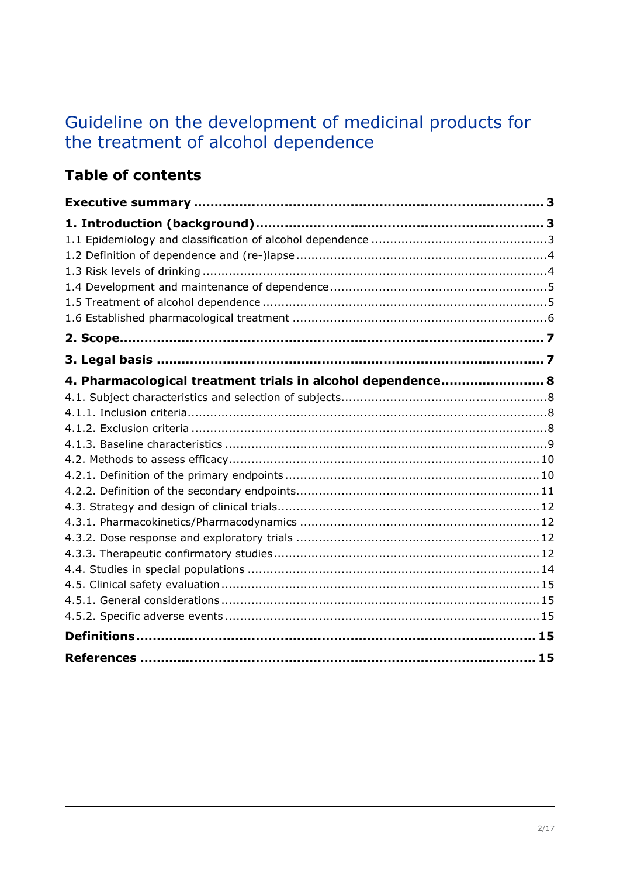# Guideline on the development of medicinal products for the treatment of alcohol dependence

# **Table of contents**

| 4. Pharmacological treatment trials in alcohol dependence 8 |  |
|-------------------------------------------------------------|--|
|                                                             |  |
|                                                             |  |
|                                                             |  |
|                                                             |  |
|                                                             |  |
|                                                             |  |
|                                                             |  |
|                                                             |  |
|                                                             |  |
|                                                             |  |
|                                                             |  |
|                                                             |  |
|                                                             |  |
|                                                             |  |
|                                                             |  |
| References ……………………………………………………………………………………… 15             |  |
|                                                             |  |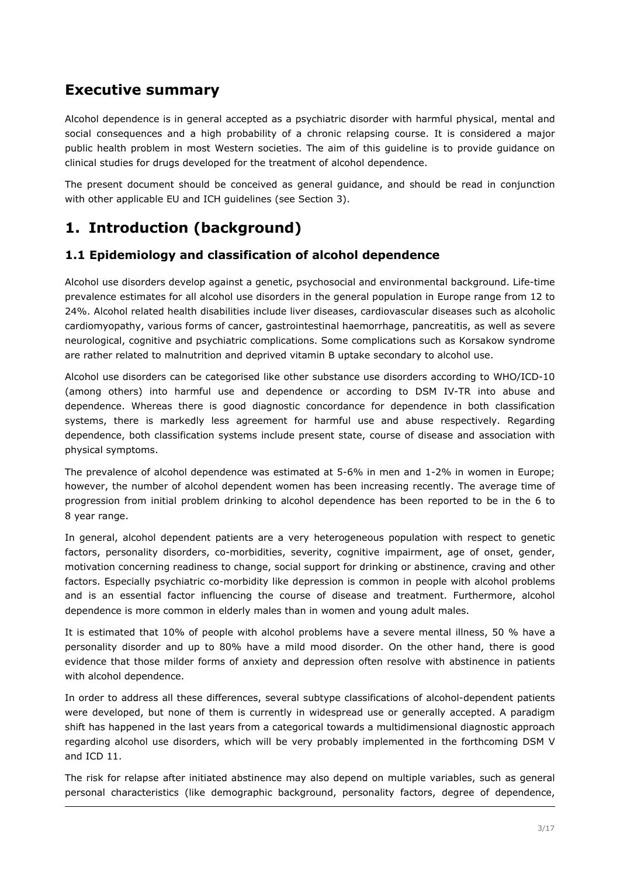## <span id="page-2-2"></span>**Executive summary**

Alcohol dependence is in general accepted as a psychiatric disorder with harmful physical, mental and social consequences and a high probability of a chronic relapsing course. It is considered a major public health problem in most Western societies. The aim of this guideline is to provide guidance on clinical studies for drugs developed for the treatment of alcohol dependence.

The present document should be conceived as general guidance, and should be read in conjunction with other applicable EU and ICH guidelines (see Section 3).

## <span id="page-2-1"></span>**1. Introduction (background)**

### <span id="page-2-0"></span>**1.1 Epidemiology and classification of alcohol dependence**

Alcohol use disorders develop against a genetic, psychosocial and environmental background. Life-time prevalence estimates for all alcohol use disorders in the general population in Europe range from 12 to 24%. Alcohol related health disabilities include liver diseases, cardiovascular diseases such as alcoholic cardiomyopathy, various forms of cancer, gastrointestinal haemorrhage, pancreatitis, as well as severe neurological, cognitive and psychiatric complications. Some complications such as Korsakow syndrome are rather related to malnutrition and deprived vitamin B uptake secondary to alcohol use.

Alcohol use disorders can be categorised like other substance use disorders according to WHO/ICD-10 (among others) into harmful use and dependence or according to DSM IV-TR into abuse and dependence. Whereas there is good diagnostic concordance for dependence in both classification systems, there is markedly less agreement for harmful use and abuse respectively. Regarding dependence, both classification systems include present state, course of disease and association with physical symptoms.

The prevalence of alcohol dependence was estimated at 5-6% in men and 1-2% in women in Europe; however, the number of alcohol dependent women has been increasing recently. The average time of progression from initial problem drinking to alcohol dependence has been reported to be in the 6 to 8 year range.

In general, alcohol dependent patients are a very heterogeneous population with respect to genetic factors, personality disorders, co-morbidities, severity, cognitive impairment, age of onset, gender, motivation concerning readiness to change, social support for drinking or abstinence, craving and other factors. Especially psychiatric co-morbidity like depression is common in people with alcohol problems and is an essential factor influencing the course of disease and treatment. Furthermore, alcohol dependence is more common in elderly males than in women and young adult males.

It is estimated that 10% of people with alcohol problems have a severe mental illness, 50 % have a personality disorder and up to 80% have a mild mood disorder. On the other hand, there is good evidence that those milder forms of anxiety and depression often resolve with abstinence in patients with alcohol dependence.

In order to address all these differences, several subtype classifications of alcohol-dependent patients were developed, but none of them is currently in widespread use or generally accepted. A paradigm shift has happened in the last years from a categorical towards a multidimensional diagnostic approach regarding alcohol use disorders, which will be very probably implemented in the forthcoming DSM V and ICD 11.

The risk for relapse after initiated abstinence may also depend on multiple variables, such as general personal characteristics (like demographic background, personality factors, degree of dependence,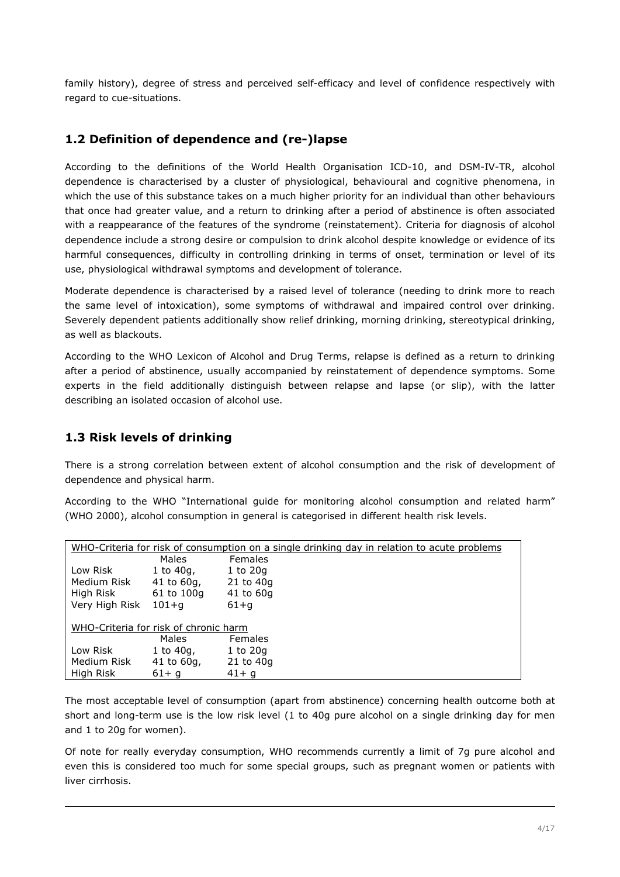family history), degree of stress and perceived self-efficacy and level of confidence respectively with regard to cue-situations.

## <span id="page-3-1"></span>**1.2 Definition of dependence and (re-)lapse**

According to the definitions of the World Health Organisation ICD-10, and DSM-IV-TR, alcohol dependence is characterised by a cluster of physiological, behavioural and cognitive phenomena, in which the use of this substance takes on a much higher priority for an individual than other behaviours that once had greater value, and a return to drinking after a period of abstinence is often associated with a reappearance of the features of the syndrome (reinstatement). Criteria for diagnosis of alcohol dependence include a strong desire or compulsion to drink alcohol despite knowledge or evidence of its harmful consequences, difficulty in controlling drinking in terms of onset, termination or level of its use, physiological withdrawal symptoms and development of tolerance.

Moderate dependence is characterised by a raised level of tolerance (needing to drink more to reach the same level of intoxication), some symptoms of withdrawal and impaired control over drinking. Severely dependent patients additionally show relief drinking, morning drinking, stereotypical drinking, as well as blackouts.

According to the WHO Lexicon of Alcohol and Drug Terms, relapse is defined as a return to drinking after a period of abstinence, usually accompanied by reinstatement of dependence symptoms. Some experts in the field additionally distinguish between relapse and lapse (or slip), with the latter describing an isolated occasion of alcohol use.

### <span id="page-3-0"></span>**1.3 Risk levels of drinking**

There is a strong correlation between extent of alcohol consumption and the risk of development of dependence and physical harm.

According to the WHO "International guide for monitoring alcohol consumption and related harm" (WHO 2000), alcohol consumption in general is categorised in different health risk levels.

| WHO-Criteria for risk of consumption on a single drinking day in relation to acute problems |                 |               |  |
|---------------------------------------------------------------------------------------------|-----------------|---------------|--|
|                                                                                             | Males           | Females       |  |
| Low Risk                                                                                    | 1 to 40g,       | $1$ to $20q$  |  |
| Medium Risk                                                                                 | $41$ to $60q$ , | $21$ to $40q$ |  |
| High Risk                                                                                   | 61 to 100g      | 41 to 60g     |  |
| Very High Risk                                                                              | $101 + q$       | $61+q$        |  |
|                                                                                             |                 |               |  |
| WHO-Criteria for risk of chronic harm                                                       |                 |               |  |
|                                                                                             | Males           | Females       |  |
| Low Risk                                                                                    | 1 to 40g,       | $1$ to $20q$  |  |
| Medium Risk                                                                                 | $41$ to $60q$ , | $21$ to $40q$ |  |
| High Risk                                                                                   | $61+q$          | $41 + q$      |  |

The most acceptable level of consumption (apart from abstinence) concerning health outcome both at short and long-term use is the low risk level (1 to 40g pure alcohol on a single drinking day for men and 1 to 20g for women).

Of note for really everyday consumption, WHO recommends currently a limit of 7g pure alcohol and even this is considered too much for some special groups, such as pregnant women or patients with liver cirrhosis.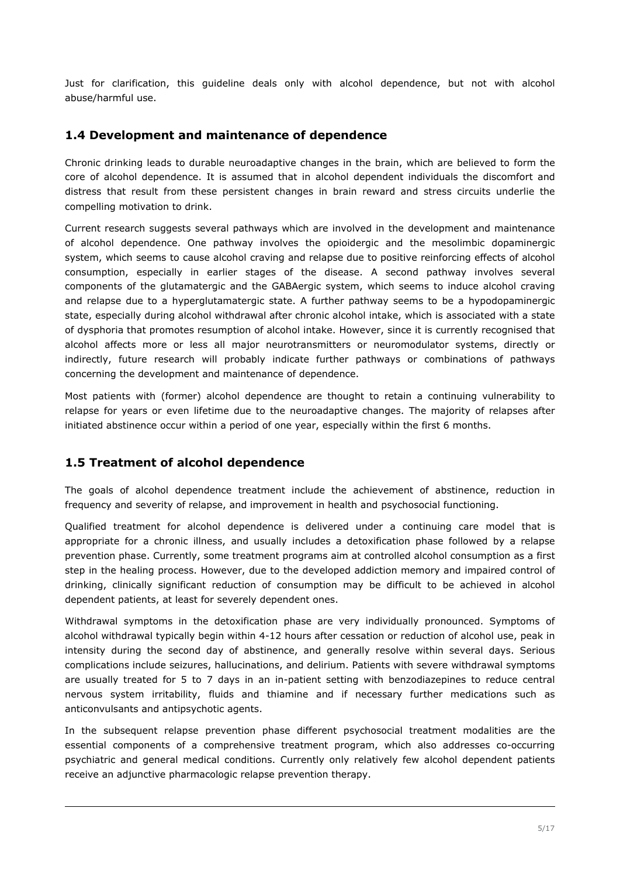Just for clarification, this guideline deals only with alcohol dependence, but not with alcohol abuse/harmful use.

#### <span id="page-4-1"></span>**1.4 Development and maintenance of dependence**

Chronic drinking leads to durable neuroadaptive changes in the brain, which are believed to form the core of alcohol dependence. It is assumed that in alcohol dependent individuals the discomfort and distress that result from these persistent changes in brain reward and stress circuits underlie the compelling motivation to drink.

Current research suggests several pathways which are involved in the development and maintenance of alcohol dependence. One pathway involves the opioidergic and the mesolimbic dopaminergic system, which seems to cause alcohol craving and relapse due to positive reinforcing effects of alcohol consumption, especially in earlier stages of the disease. A second pathway involves several components of the glutamatergic and the GABAergic system, which seems to induce alcohol craving and relapse due to a hyperglutamatergic state. A further pathway seems to be a hypodopaminergic state, especially during alcohol withdrawal after chronic alcohol intake, which is associated with a state of dysphoria that promotes resumption of alcohol intake. However, since it is currently recognised that alcohol affects more or less all major neurotransmitters or neuromodulator systems, directly or indirectly, future research will probably indicate further pathways or combinations of pathways concerning the development and maintenance of dependence.

Most patients with (former) alcohol dependence are thought to retain a continuing vulnerability to relapse for years or even lifetime due to the neuroadaptive changes. The majority of relapses after initiated abstinence occur within a period of one year, especially within the first 6 months.

### <span id="page-4-0"></span>**1.5 Treatment of alcohol dependence**

The goals of alcohol dependence treatment include the achievement of abstinence, reduction in frequency and severity of relapse, and improvement in health and psychosocial functioning.

Qualified treatment for alcohol dependence is delivered under a continuing care model that is appropriate for a chronic illness, and usually includes a detoxification phase followed by a relapse prevention phase. Currently, some treatment programs aim at controlled alcohol consumption as a first step in the healing process. However, due to the developed addiction memory and impaired control of drinking, clinically significant reduction of consumption may be difficult to be achieved in alcohol dependent patients, at least for severely dependent ones.

Withdrawal symptoms in the detoxification phase are very individually pronounced. Symptoms of alcohol withdrawal typically begin within 4-12 hours after cessation or reduction of alcohol use, peak in intensity during the second day of abstinence, and generally resolve within several days. Serious complications include seizures, hallucinations, and delirium. Patients with severe withdrawal symptoms are usually treated for 5 to 7 days in an in-patient setting with benzodiazepines to reduce central nervous system irritability, fluids and thiamine and if necessary further medications such as anticonvulsants and antipsychotic agents.

In the subsequent relapse prevention phase different psychosocial treatment modalities are the essential components of a comprehensive treatment program, which also addresses co-occurring psychiatric and general medical conditions. Currently only relatively few alcohol dependent patients receive an adjunctive pharmacologic relapse prevention therapy.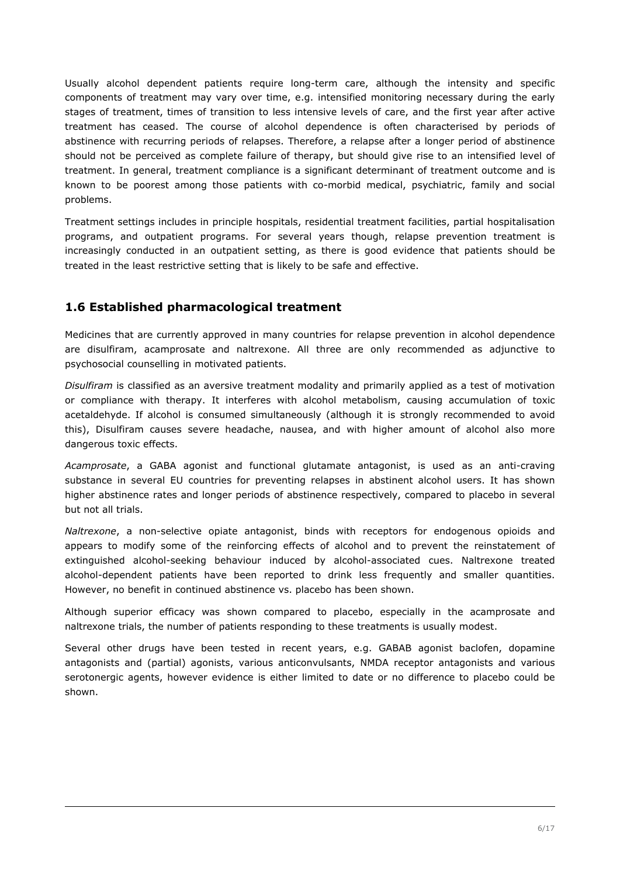Usually alcohol dependent patients require long-term care, although the intensity and specific components of treatment may vary over time, e.g. intensified monitoring necessary during the early stages of treatment, times of transition to less intensive levels of care, and the first year after active treatment has ceased. The course of alcohol dependence is often characterised by periods of abstinence with recurring periods of relapses. Therefore, a relapse after a longer period of abstinence should not be perceived as complete failure of therapy, but should give rise to an intensified level of treatment. In general, treatment compliance is a significant determinant of treatment outcome and is known to be poorest among those patients with co-morbid medical, psychiatric, family and social problems.

Treatment settings includes in principle hospitals, residential treatment facilities, partial hospitalisation programs, and outpatient programs. For several years though, relapse prevention treatment is increasingly conducted in an outpatient setting, as there is good evidence that patients should be treated in the least restrictive setting that is likely to be safe and effective.

## <span id="page-5-0"></span>**1.6 Established pharmacological treatment**

Medicines that are currently approved in many countries for relapse prevention in alcohol dependence are disulfiram, acamprosate and naltrexone. All three are only recommended as adjunctive to psychosocial counselling in motivated patients.

*Disulfiram* is classified as an aversive treatment modality and primarily applied as a test of motivation or compliance with therapy. It interferes with alcohol metabolism, causing accumulation of toxic acetaldehyde. If alcohol is consumed simultaneously (although it is strongly recommended to avoid this), Disulfiram causes severe headache, nausea, and with higher amount of alcohol also more dangerous toxic effects.

*Acamprosate*, a GABA agonist and functional glutamate antagonist, is used as an anti-craving substance in several EU countries for preventing relapses in abstinent alcohol users. It has shown higher abstinence rates and longer periods of abstinence respectively, compared to placebo in several but not all trials.

*Naltrexone*, a non-selective opiate antagonist, binds with receptors for endogenous opioids and appears to modify some of the reinforcing effects of alcohol and to prevent the reinstatement of extinguished alcohol-seeking behaviour induced by alcohol-associated cues. Naltrexone treated alcohol-dependent patients have been reported to drink less frequently and smaller quantities. However, no benefit in continued abstinence vs. placebo has been shown.

Although superior efficacy was shown compared to placebo, especially in the acamprosate and naltrexone trials, the number of patients responding to these treatments is usually modest.

Several other drugs have been tested in recent years, e.g. GABAB agonist baclofen, dopamine antagonists and (partial) agonists, various anticonvulsants, NMDA receptor antagonists and various serotonergic agents, however evidence is either limited to date or no difference to placebo could be shown.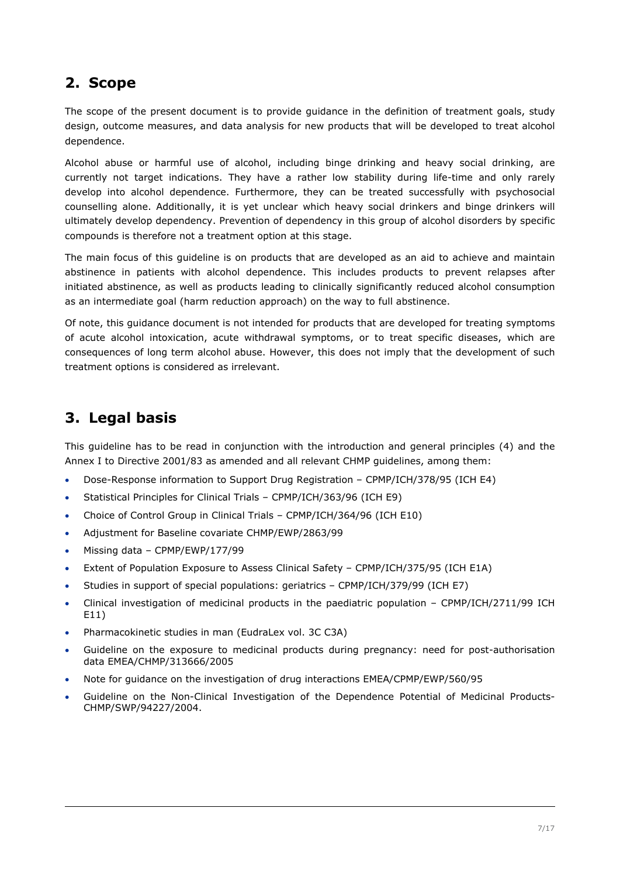## <span id="page-6-1"></span>**2. Scope**

The scope of the present document is to provide guidance in the definition of treatment goals, study design, outcome measures, and data analysis for new products that will be developed to treat alcohol dependence.

Alcohol abuse or harmful use of alcohol, including binge drinking and heavy social drinking, are currently not target indications. They have a rather low stability during life-time and only rarely develop into alcohol dependence. Furthermore, they can be treated successfully with psychosocial counselling alone. Additionally, it is yet unclear which heavy social drinkers and binge drinkers will ultimately develop dependency. Prevention of dependency in this group of alcohol disorders by specific compounds is therefore not a treatment option at this stage.

The main focus of this guideline is on products that are developed as an aid to achieve and maintain abstinence in patients with alcohol dependence. This includes products to prevent relapses after initiated abstinence, as well as products leading to clinically significantly reduced alcohol consumption as an intermediate goal (harm reduction approach) on the way to full abstinence.

Of note, this guidance document is not intended for products that are developed for treating symptoms of acute alcohol intoxication, acute withdrawal symptoms, or to treat specific diseases, which are consequences of long term alcohol abuse. However, this does not imply that the development of such treatment options is considered as irrelevant.

## <span id="page-6-0"></span>**3. Legal basis**

This guideline has to be read in conjunction with the introduction and general principles (4) and the Annex I to Directive 2001/83 as amended and all relevant CHMP guidelines, among them:

- Dose-Response information to Support Drug Registration CPMP/ICH/378/95 (ICH E4)
- Statistical Principles for Clinical Trials CPMP/ICH/363/96 (ICH E9)
- Choice of Control Group in Clinical Trials CPMP/ICH/364/96 (ICH E10)
- Adjustment for Baseline covariate CHMP/EWP/2863/99
- Missing data CPMP/EWP/177/99
- Extent of Population Exposure to Assess Clinical Safety CPMP/ICH/375/95 (ICH E1A)
- Studies in support of special populations: geriatrics CPMP/ICH/379/99 (ICH E7)
- Clinical investigation of medicinal products in the paediatric population CPMP/ICH/2711/99 ICH E11)
- Pharmacokinetic studies in man (EudraLex vol. 3C C3A)
- Guideline on the exposure to medicinal products during pregnancy: need for post-authorisation data EMEA/CHMP/313666/2005
- Note for guidance on the investigation of drug interactions EMEA/CPMP/EWP/560/95
- Guideline on the Non-Clinical Investigation of the Dependence Potential of Medicinal Products-CHMP/SWP/94227/2004.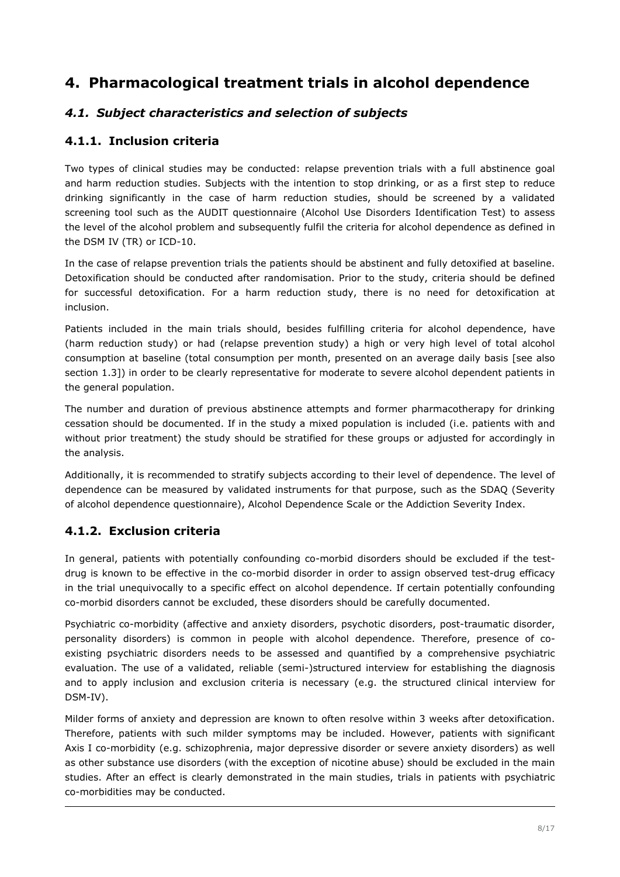## <span id="page-7-3"></span>**4. Pharmacological treatment trials in alcohol dependence**

## <span id="page-7-2"></span>*4.1. Subject characteristics and selection of subjects*

## <span id="page-7-1"></span>**4.1.1. Inclusion criteria**

Two types of clinical studies may be conducted: relapse prevention trials with a full abstinence goal and harm reduction studies. Subjects with the intention to stop drinking, or as a first step to reduce drinking significantly in the case of harm reduction studies, should be screened by a validated screening tool such as the AUDIT questionnaire (Alcohol Use Disorders Identification Test) to assess the level of the alcohol problem and subsequently fulfil the criteria for alcohol dependence as defined in the DSM IV (TR) or ICD-10.

In the case of relapse prevention trials the patients should be abstinent and fully detoxified at baseline. Detoxification should be conducted after randomisation. Prior to the study, criteria should be defined for successful detoxification. For a harm reduction study, there is no need for detoxification at inclusion.

Patients included in the main trials should, besides fulfilling criteria for alcohol dependence, have (harm reduction study) or had (relapse prevention study) a high or very high level of total alcohol consumption at baseline (total consumption per month, presented on an average daily basis [see also section 1.3]) in order to be clearly representative for moderate to severe alcohol dependent patients in the general population.

The number and duration of previous abstinence attempts and former pharmacotherapy for drinking cessation should be documented. If in the study a mixed population is included (i.e. patients with and without prior treatment) the study should be stratified for these groups or adjusted for accordingly in the analysis.

Additionally, it is recommended to stratify subjects according to their level of dependence. The level of dependence can be measured by validated instruments for that purpose, such as the SDAQ (Severity of alcohol dependence questionnaire), Alcohol Dependence Scale or the Addiction Severity Index.

## <span id="page-7-0"></span>**4.1.2. Exclusion criteria**

In general, patients with potentially confounding co-morbid disorders should be excluded if the testdrug is known to be effective in the co-morbid disorder in order to assign observed test-drug efficacy in the trial unequivocally to a specific effect on alcohol dependence. If certain potentially confounding co-morbid disorders cannot be excluded, these disorders should be carefully documented.

Psychiatric co-morbidity (affective and anxiety disorders, psychotic disorders, post-traumatic disorder, personality disorders) is common in people with alcohol dependence. Therefore, presence of coexisting psychiatric disorders needs to be assessed and quantified by a comprehensive psychiatric evaluation. The use of a validated, reliable (semi-)structured interview for establishing the diagnosis and to apply inclusion and exclusion criteria is necessary (e.g. the structured clinical interview for DSM-IV).

Milder forms of anxiety and depression are known to often resolve within 3 weeks after detoxification. Therefore, patients with such milder symptoms may be included. However, patients with significant Axis I co-morbidity (e.g. schizophrenia, major depressive disorder or severe anxiety disorders) as well as other substance use disorders (with the exception of nicotine abuse) should be excluded in the main studies. After an effect is clearly demonstrated in the main studies, trials in patients with psychiatric co-morbidities may be conducted.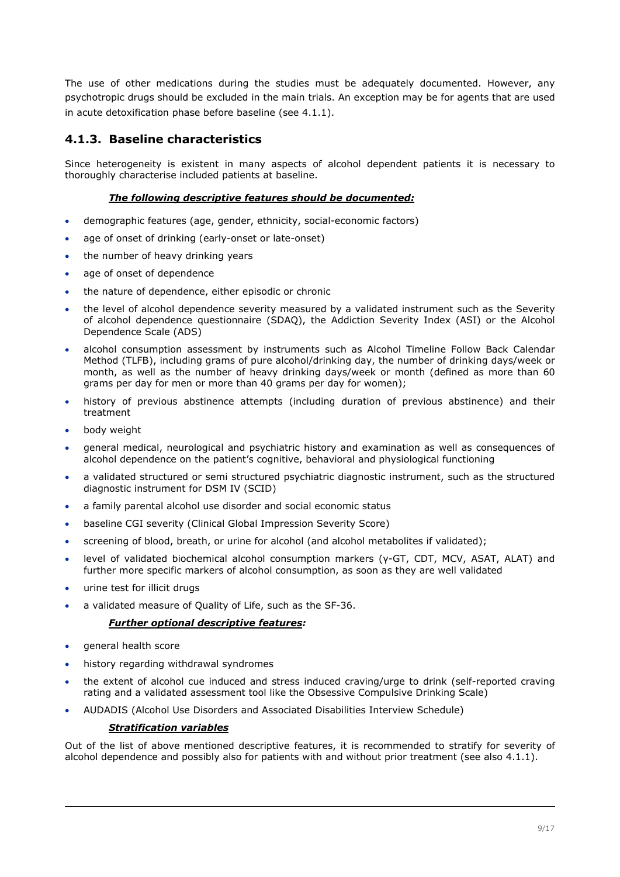The use of other medications during the studies must be adequately documented. However, any psychotropic drugs should be excluded in the main trials. An exception may be for agents that are used in acute detoxification phase before baseline (see 4.1.1).

## <span id="page-8-0"></span>**4.1.3. Baseline characteristics**

Since heterogeneity is existent in many aspects of alcohol dependent patients it is necessary to thoroughly characterise included patients at baseline.

#### *The following descriptive features should be documented:*

- demographic features (age, gender, ethnicity, social-economic factors)
- age of onset of drinking (early-onset or late-onset)
- the number of heavy drinking years
- age of onset of dependence
- the nature of dependence, either episodic or chronic
- the level of alcohol dependence severity measured by a validated instrument such as the Severity of alcohol dependence questionnaire (SDAQ), the Addiction Severity Index (ASI) or the Alcohol Dependence Scale (ADS)
- alcohol consumption assessment by instruments such as Alcohol Timeline Follow Back Calendar Method (TLFB), including grams of pure alcohol/drinking day, the number of drinking days/week or month, as well as the number of heavy drinking days/week or month (defined as more than 60 grams per day for men or more than 40 grams per day for women);
- history of previous abstinence attempts (including duration of previous abstinence) and their treatment
- body weight
- general medical, neurological and psychiatric history and examination as well as consequences of alcohol dependence on the patient's cognitive, behavioral and physiological functioning
- a validated structured or semi structured psychiatric diagnostic instrument, such as the structured diagnostic instrument for DSM IV (SCID)
- a family parental alcohol use disorder and social economic status
- baseline CGI severity (Clinical Global Impression Severity Score)
- screening of blood, breath, or urine for alcohol (and alcohol metabolites if validated);
- level of validated biochemical alcohol consumption markers (γ-GT, CDT, MCV, ASAT, ALAT) and further more specific markers of alcohol consumption, as soon as they are well validated
- urine test for illicit drugs
- a validated measure of Quality of Life, such as the SF-36.

#### *Further optional descriptive features:*

- general health score
- history regarding withdrawal syndromes
- the extent of alcohol cue induced and stress induced craving/urge to drink (self-reported craving rating and a validated assessment tool like the Obsessive Compulsive Drinking Scale)
- AUDADIS (Alcohol Use Disorders and Associated Disabilities Interview Schedule)

#### *Stratification variables*

Out of the list of above mentioned descriptive features, it is recommended to stratify for severity of alcohol dependence and possibly also for patients with and without prior treatment (see also 4.1.1).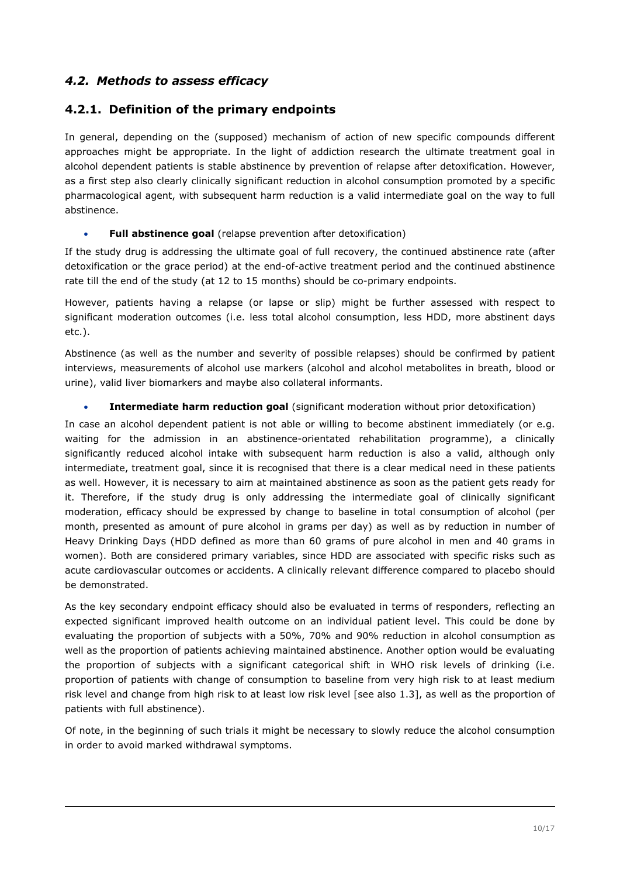## <span id="page-9-1"></span>*4.2. Methods to assess efficacy*

### <span id="page-9-0"></span>**4.2.1. Definition of the primary endpoints**

In general, depending on the (supposed) mechanism of action of new specific compounds different approaches might be appropriate. In the light of addiction research the ultimate treatment goal in alcohol dependent patients is stable abstinence by prevention of relapse after detoxification. However, as a first step also clearly clinically significant reduction in alcohol consumption promoted by a specific pharmacological agent, with subsequent harm reduction is a valid intermediate goal on the way to full abstinence.

#### **Full abstinence goal** (relapse prevention after detoxification)

If the study drug is addressing the ultimate goal of full recovery, the continued abstinence rate (after detoxification or the grace period) at the end-of-active treatment period and the continued abstinence rate till the end of the study (at 12 to 15 months) should be co-primary endpoints.

However, patients having a relapse (or lapse or slip) might be further assessed with respect to significant moderation outcomes (i.e. less total alcohol consumption, less HDD, more abstinent days etc.).

Abstinence (as well as the number and severity of possible relapses) should be confirmed by patient interviews, measurements of alcohol use markers (alcohol and alcohol metabolites in breath, blood or urine), valid liver biomarkers and maybe also collateral informants.

#### **Intermediate harm reduction goal** (significant moderation without prior detoxification)

In case an alcohol dependent patient is not able or willing to become abstinent immediately (or e.g. waiting for the admission in an abstinence-orientated rehabilitation programme), a clinically significantly reduced alcohol intake with subsequent harm reduction is also a valid, although only intermediate, treatment goal, since it is recognised that there is a clear medical need in these patients as well. However, it is necessary to aim at maintained abstinence as soon as the patient gets ready for it. Therefore, if the study drug is only addressing the intermediate goal of clinically significant moderation, efficacy should be expressed by change to baseline in total consumption of alcohol (per month, presented as amount of pure alcohol in grams per day) as well as by reduction in number of Heavy Drinking Days (HDD defined as more than 60 grams of pure alcohol in men and 40 grams in women). Both are considered primary variables, since HDD are associated with specific risks such as acute cardiovascular outcomes or accidents. A clinically relevant difference compared to placebo should be demonstrated.

As the key secondary endpoint efficacy should also be evaluated in terms of responders, reflecting an expected significant improved health outcome on an individual patient level. This could be done by evaluating the proportion of subjects with a 50%, 70% and 90% reduction in alcohol consumption as well as the proportion of patients achieving maintained abstinence. Another option would be evaluating the proportion of subjects with a significant categorical shift in WHO risk levels of drinking (i.e. proportion of patients with change of consumption to baseline from very high risk to at least medium risk level and change from high risk to at least low risk level [see also 1.3], as well as the proportion of patients with full abstinence).

Of note, in the beginning of such trials it might be necessary to slowly reduce the alcohol consumption in order to avoid marked withdrawal symptoms.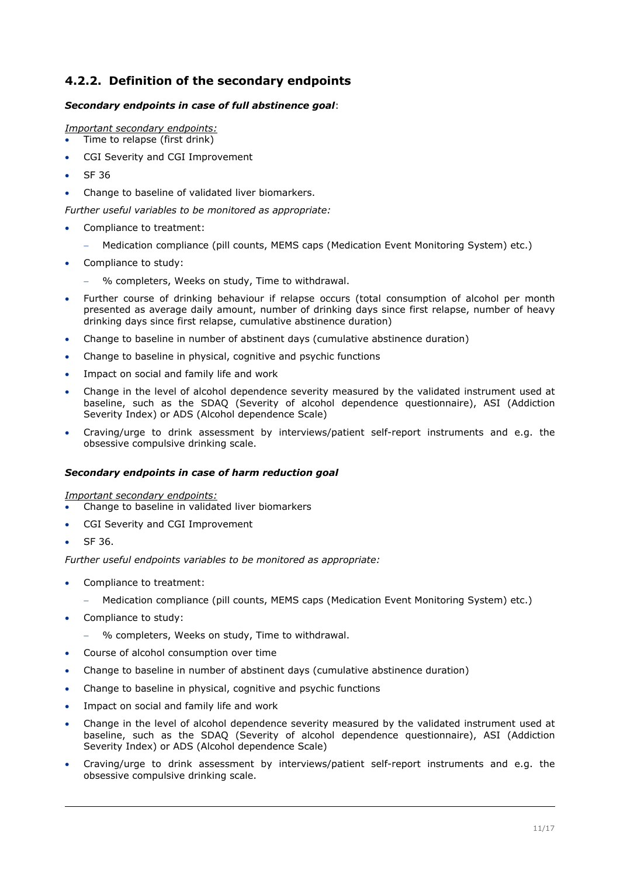## <span id="page-10-0"></span>**4.2.2. Definition of the secondary endpoints**

#### *Secondary endpoints in case of full abstinence goal*:

*Important secondary endpoints:*

Time to relapse (first drink)

- CGI Severity and CGI Improvement
- SF 36
- Change to baseline of validated liver biomarkers.

*Further useful variables to be monitored as appropriate:* 

- Compliance to treatment:
	- Medication compliance (pill counts, MEMS caps (Medication Event Monitoring System) etc.)
- Compliance to study:
	- % completers, Weeks on study, Time to withdrawal.
- Further course of drinking behaviour if relapse occurs (total consumption of alcohol per month presented as average daily amount, number of drinking days since first relapse, number of heavy drinking days since first relapse, cumulative abstinence duration)
- Change to baseline in number of abstinent days (cumulative abstinence duration)
- Change to baseline in physical, cognitive and psychic functions
- Impact on social and family life and work
- Change in the level of alcohol dependence severity measured by the validated instrument used at baseline, such as the SDAQ (Severity of alcohol dependence questionnaire), ASI (Addiction Severity Index) or ADS (Alcohol dependence Scale)
- Craving/urge to drink assessment by interviews/patient self-report instruments and e.g. the obsessive compulsive drinking scale.

#### *Secondary endpoints in case of harm reduction goal*

*Important secondary endpoints:*

- Change to baseline in validated liver biomarkers
- CGI Severity and CGI Improvement
- SF 36.

*Further useful endpoints variables to be monitored as appropriate:* 

- Compliance to treatment:
	- Medication compliance (pill counts, MEMS caps (Medication Event Monitoring System) etc.)
- Compliance to study:
	- % completers, Weeks on study, Time to withdrawal.
- Course of alcohol consumption over time
- Change to baseline in number of abstinent days (cumulative abstinence duration)
- Change to baseline in physical, cognitive and psychic functions
- Impact on social and family life and work
- Change in the level of alcohol dependence severity measured by the validated instrument used at baseline, such as the SDAQ (Severity of alcohol dependence questionnaire), ASI (Addiction Severity Index) or ADS (Alcohol dependence Scale)
- Craving/urge to drink assessment by interviews/patient self-report instruments and e.g. the obsessive compulsive drinking scale.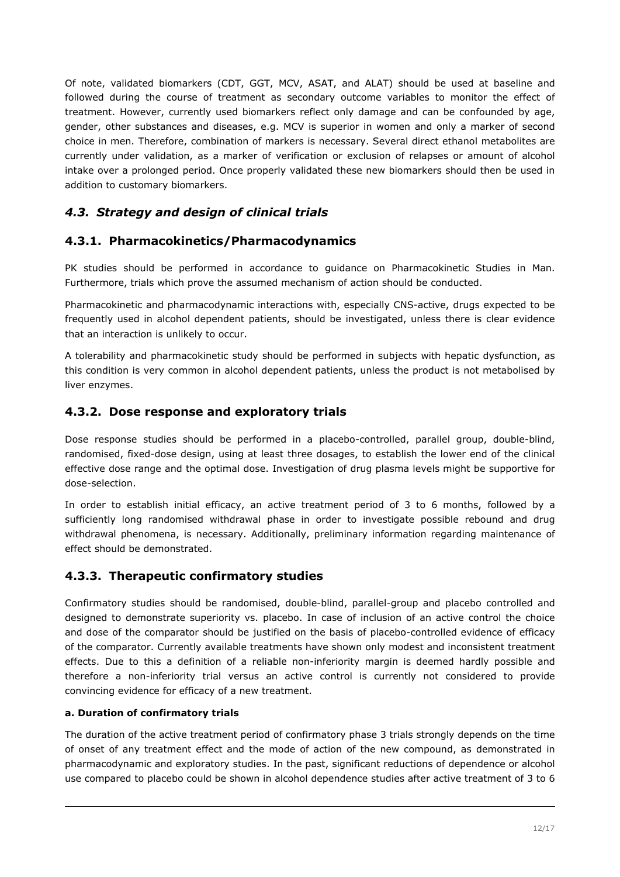Of note, validated biomarkers (CDT, GGT, MCV, ASAT, and ALAT) should be used at baseline and followed during the course of treatment as secondary outcome variables to monitor the effect of treatment. However, currently used biomarkers reflect only damage and can be confounded by age, gender, other substances and diseases, e.g. MCV is superior in women and only a marker of second choice in men. Therefore, combination of markers is necessary. Several direct ethanol metabolites are currently under validation, as a marker of verification or exclusion of relapses or amount of alcohol intake over a prolonged period. Once properly validated these new biomarkers should then be used in addition to customary biomarkers.

## <span id="page-11-3"></span>*4.3. Strategy and design of clinical trials*

### <span id="page-11-2"></span>**4.3.1. Pharmacokinetics/Pharmacodynamics**

PK studies should be performed in accordance to guidance on Pharmacokinetic Studies in Man. Furthermore, trials which prove the assumed mechanism of action should be conducted.

Pharmacokinetic and pharmacodynamic interactions with, especially CNS-active, drugs expected to be frequently used in alcohol dependent patients, should be investigated, unless there is clear evidence that an interaction is unlikely to occur.

A tolerability and pharmacokinetic study should be performed in subjects with hepatic dysfunction, as this condition is very common in alcohol dependent patients, unless the product is not metabolised by liver enzymes.

#### <span id="page-11-1"></span>**4.3.2. Dose response and exploratory trials**

Dose response studies should be performed in a placebo-controlled, parallel group, double-blind, randomised, fixed-dose design, using at least three dosages, to establish the lower end of the clinical effective dose range and the optimal dose. Investigation of drug plasma levels might be supportive for dose-selection.

In order to establish initial efficacy, an active treatment period of 3 to 6 months, followed by a sufficiently long randomised withdrawal phase in order to investigate possible rebound and drug withdrawal phenomena, is necessary. Additionally, preliminary information regarding maintenance of effect should be demonstrated.

#### <span id="page-11-0"></span>**4.3.3. Therapeutic confirmatory studies**

Confirmatory studies should be randomised, double-blind, parallel-group and placebo controlled and designed to demonstrate superiority vs. placebo. In case of inclusion of an active control the choice and dose of the comparator should be justified on the basis of placebo-controlled evidence of efficacy of the comparator. Currently available treatments have shown only modest and inconsistent treatment effects. Due to this a definition of a reliable non-inferiority margin is deemed hardly possible and therefore a non-inferiority trial versus an active control is currently not considered to provide convincing evidence for efficacy of a new treatment.

#### **a. Duration of confirmatory trials**

The duration of the active treatment period of confirmatory phase 3 trials strongly depends on the time of onset of any treatment effect and the mode of action of the new compound, as demonstrated in pharmacodynamic and exploratory studies. In the past, significant reductions of dependence or alcohol use compared to placebo could be shown in alcohol dependence studies after active treatment of 3 to 6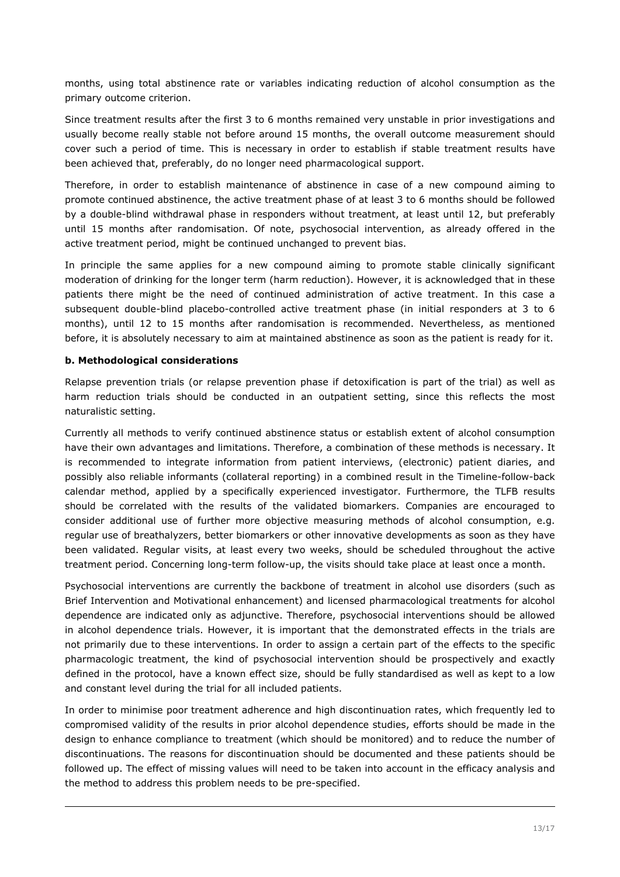months, using total abstinence rate or variables indicating reduction of alcohol consumption as the primary outcome criterion.

Since treatment results after the first 3 to 6 months remained very unstable in prior investigations and usually become really stable not before around 15 months, the overall outcome measurement should cover such a period of time. This is necessary in order to establish if stable treatment results have been achieved that, preferably, do no longer need pharmacological support.

Therefore, in order to establish maintenance of abstinence in case of a new compound aiming to promote continued abstinence, the active treatment phase of at least 3 to 6 months should be followed by a double-blind withdrawal phase in responders without treatment, at least until 12, but preferably until 15 months after randomisation. Of note, psychosocial intervention, as already offered in the active treatment period, might be continued unchanged to prevent bias.

In principle the same applies for a new compound aiming to promote stable clinically significant moderation of drinking for the longer term (harm reduction). However, it is acknowledged that in these patients there might be the need of continued administration of active treatment. In this case a subsequent double-blind placebo-controlled active treatment phase (in initial responders at 3 to 6 months), until 12 to 15 months after randomisation is recommended. Nevertheless, as mentioned before, it is absolutely necessary to aim at maintained abstinence as soon as the patient is ready for it.

#### **b. Methodological considerations**

Relapse prevention trials (or relapse prevention phase if detoxification is part of the trial) as well as harm reduction trials should be conducted in an outpatient setting, since this reflects the most naturalistic setting.

Currently all methods to verify continued abstinence status or establish extent of alcohol consumption have their own advantages and limitations. Therefore, a combination of these methods is necessary. It is recommended to integrate information from patient interviews, (electronic) patient diaries, and possibly also reliable informants (collateral reporting) in a combined result in the Timeline-follow-back calendar method, applied by a specifically experienced investigator. Furthermore, the TLFB results should be correlated with the results of the validated biomarkers. Companies are encouraged to consider additional use of further more objective measuring methods of alcohol consumption, e.g. regular use of breathalyzers, better biomarkers or other innovative developments as soon as they have been validated. Regular visits, at least every two weeks, should be scheduled throughout the active treatment period. Concerning long-term follow-up, the visits should take place at least once a month.

Psychosocial interventions are currently the backbone of treatment in alcohol use disorders (such as Brief Intervention and Motivational enhancement) and licensed pharmacological treatments for alcohol dependence are indicated only as adjunctive. Therefore, psychosocial interventions should be allowed in alcohol dependence trials. However, it is important that the demonstrated effects in the trials are not primarily due to these interventions. In order to assign a certain part of the effects to the specific pharmacologic treatment, the kind of psychosocial intervention should be prospectively and exactly defined in the protocol, have a known effect size, should be fully standardised as well as kept to a low and constant level during the trial for all included patients.

In order to minimise poor treatment adherence and high discontinuation rates, which frequently led to compromised validity of the results in prior alcohol dependence studies, efforts should be made in the design to enhance compliance to treatment (which should be monitored) and to reduce the number of discontinuations. The reasons for discontinuation should be documented and these patients should be followed up. The effect of missing values will need to be taken into account in the efficacy analysis and the method to address this problem needs to be pre-specified.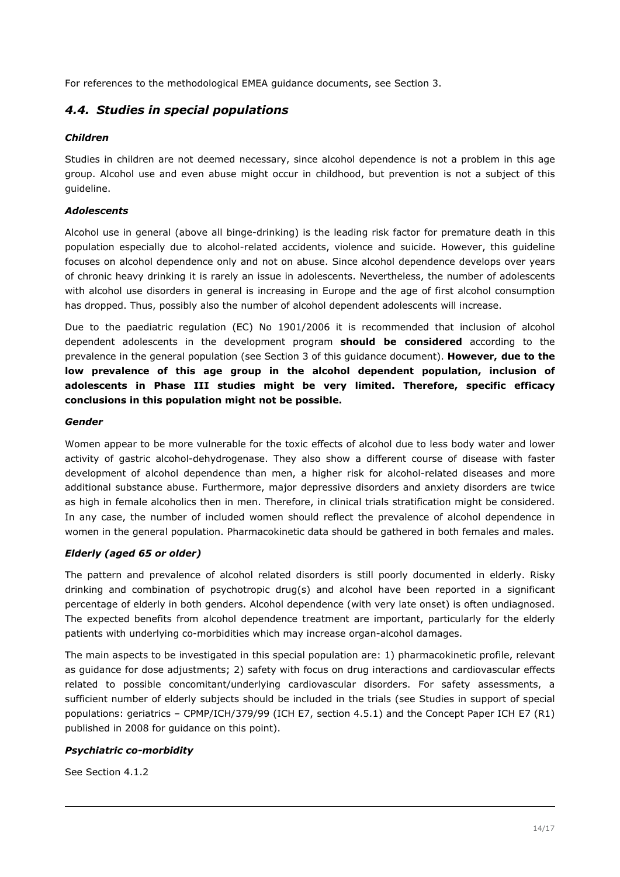For references to the methodological EMEA guidance documents, see Section 3.

### <span id="page-13-0"></span>*4.4. Studies in special populations*

#### *Children*

Studies in children are not deemed necessary, since alcohol dependence is not a problem in this age group. Alcohol use and even abuse might occur in childhood, but prevention is not a subject of this guideline.

#### *Adolescents*

Alcohol use in general (above all binge-drinking) is the leading risk factor for premature death in this population especially due to alcohol-related accidents, violence and suicide. However, this guideline focuses on alcohol dependence only and not on abuse. Since alcohol dependence develops over years of chronic heavy drinking it is rarely an issue in adolescents. Nevertheless, the number of adolescents with alcohol use disorders in general is increasing in Europe and the age of first alcohol consumption has dropped. Thus, possibly also the number of alcohol dependent adolescents will increase.

Due to the paediatric regulation (EC) No 1901/2006 it is recommended that inclusion of alcohol dependent adolescents in the development program **should be considered** according to the prevalence in the general population (see Section 3 of this guidance document). **However, due to the low prevalence of this age group in the alcohol dependent population, inclusion of adolescents in Phase III studies might be very limited. Therefore, specific efficacy conclusions in this population might not be possible.**

#### *Gender*

Women appear to be more vulnerable for the toxic effects of alcohol due to less body water and lower activity of gastric alcohol-dehydrogenase. They also show a different course of disease with faster development of alcohol dependence than men, a higher risk for alcohol-related diseases and more additional substance abuse. Furthermore, major depressive disorders and anxiety disorders are twice as high in female alcoholics then in men. Therefore, in clinical trials stratification might be considered. In any case, the number of included women should reflect the prevalence of alcohol dependence in women in the general population. Pharmacokinetic data should be gathered in both females and males.

#### *Elderly (aged 65 or older)*

The pattern and prevalence of alcohol related disorders is still poorly documented in elderly. Risky drinking and combination of psychotropic drug(s) and alcohol have been reported in a significant percentage of elderly in both genders. Alcohol dependence (with very late onset) is often undiagnosed. The expected benefits from alcohol dependence treatment are important, particularly for the elderly patients with underlying co-morbidities which may increase organ-alcohol damages.

The main aspects to be investigated in this special population are: 1) pharmacokinetic profile, relevant as guidance for dose adjustments; 2) safety with focus on drug interactions and cardiovascular effects related to possible concomitant/underlying cardiovascular disorders. For safety assessments, a sufficient number of elderly subjects should be included in the trials (see Studies in support of special populations: geriatrics – CPMP/ICH/379/99 (ICH E7, section 4.5.1) and the Concept Paper ICH E7 (R1) published in 2008 for guidance on this point).

#### *Psychiatric co-morbidity*

See Section 4.1.2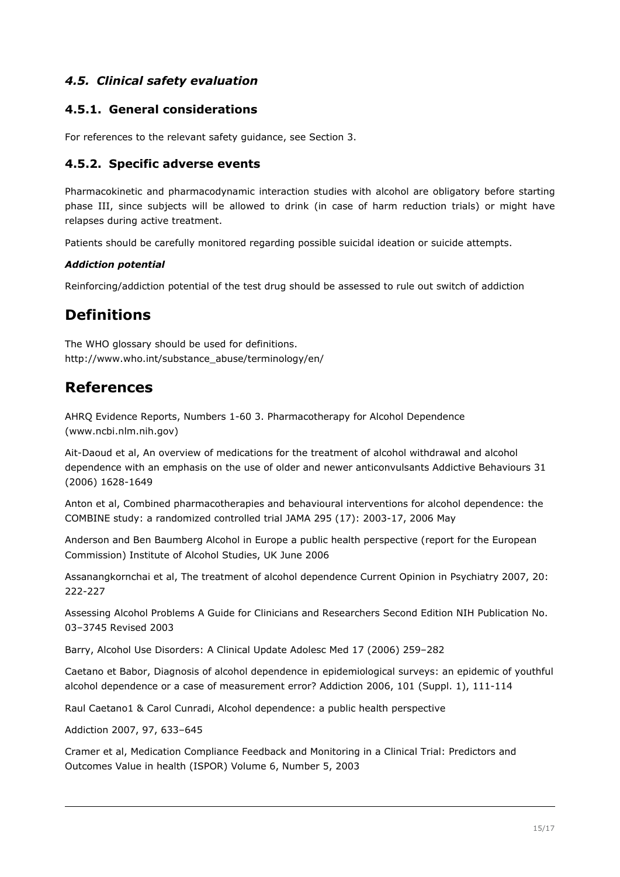## <span id="page-14-4"></span>*4.5. Clinical safety evaluation*

### <span id="page-14-3"></span>**4.5.1. General considerations**

For references to the relevant safety guidance, see Section 3.

#### <span id="page-14-2"></span>**4.5.2. Specific adverse events**

Pharmacokinetic and pharmacodynamic interaction studies with alcohol are obligatory before starting phase III, since subjects will be allowed to drink (in case of harm reduction trials) or might have relapses during active treatment.

Patients should be carefully monitored regarding possible suicidal ideation or suicide attempts.

#### *Addiction potential*

Reinforcing/addiction potential of the test drug should be assessed to rule out switch of addiction

## <span id="page-14-1"></span>**Definitions**

The WHO glossary should be used for definitions. http://www.who.int/substance\_abuse/terminology/en/

## <span id="page-14-0"></span>**References**

AHRQ Evidence Reports, Numbers 1-60 3. Pharmacotherapy for Alcohol Dependence (www.ncbi.nlm.nih.gov)

Ait-Daoud et al, An overview of medications for the treatment of alcohol withdrawal and alcohol dependence with an emphasis on the use of older and newer anticonvulsants Addictive Behaviours 31 (2006) 1628-1649

Anton et al, Combined pharmacotherapies and behavioural interventions for alcohol dependence: the COMBINE study: a randomized controlled trial JAMA 295 (17): 2003-17, 2006 May

Anderson and Ben Baumberg Alcohol in Europe a public health perspective (report for the European Commission) Institute of Alcohol Studies, UK June 2006

Assanangkornchai et al, The treatment of alcohol dependence Current Opinion in Psychiatry 2007, 20: 222-227

Assessing Alcohol Problems A Guide for Clinicians and Researchers Second Edition NIH Publication No. 03–3745 Revised 2003

Barry, Alcohol Use Disorders: A Clinical Update Adolesc Med 17 (2006) 259–282

Caetano et Babor, Diagnosis of alcohol dependence in epidemiological surveys: an epidemic of youthful alcohol dependence or a case of measurement error? Addiction 2006, 101 (Suppl. 1), 111-114

Raul Caetano1 & Carol Cunradi, Alcohol dependence: a public health perspective

Addiction 2007, 97, 633–645

Cramer et al, Medication Compliance Feedback and Monitoring in a Clinical Trial: Predictors and Outcomes Value in health (ISPOR) Volume 6, Number 5, 2003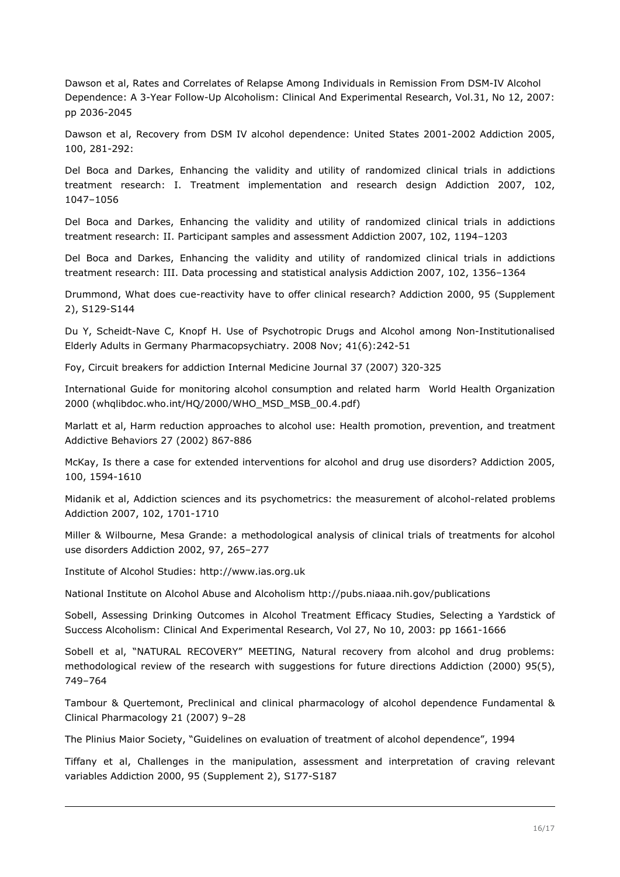Dawson et al, Rates and Correlates of Relapse Among Individuals in Remission From DSM-IV Alcohol Dependence: A 3-Year Follow-Up Alcoholism: Clinical And Experimental Research, Vol.31, No 12, 2007: pp 2036-2045

Dawson et al, Recovery from DSM IV alcohol dependence: United States 2001-2002 Addiction 2005, 100, 281-292:

Del Boca and Darkes, Enhancing the validity and utility of randomized clinical trials in addictions treatment research: I. Treatment implementation and research design Addiction 2007, 102, 1047–1056

Del Boca and Darkes, Enhancing the validity and utility of randomized clinical trials in addictions treatment research: II. Participant samples and assessment Addiction 2007, 102, 1194–1203

Del Boca and Darkes, Enhancing the validity and utility of randomized clinical trials in addictions treatment research: III. Data processing and statistical analysis Addiction 2007, 102, 1356–1364

Drummond, What does cue-reactivity have to offer clinical research? Addiction 2000, 95 (Supplement 2), S129-S144

Du Y, Scheidt-Nave C, Knopf H. Use of Psychotropic Drugs and Alcohol among Non-Institutionalised Elderly Adults in Germany Pharmacopsychiatry. 2008 Nov; 41(6):242-51

Foy, Circuit breakers for addiction Internal Medicine Journal 37 (2007) 320-325

International Guide for monitoring alcohol consumption and related harm World Health Organization 2000 (whqlibdoc.who.int/HQ/2000/WHO\_MSD\_MSB\_00.4.pdf)

Marlatt et al, Harm reduction approaches to alcohol use: Health promotion, prevention, and treatment Addictive Behaviors 27 (2002) 867-886

McKay, Is there a case for extended interventions for alcohol and drug use disorders? Addiction 2005, 100, 1594-1610

Midanik et al, Addiction sciences and its psychometrics: the measurement of alcohol-related problems Addiction 2007, 102, 1701-1710

Miller & Wilbourne, Mesa Grande: a methodological analysis of clinical trials of treatments for alcohol use disorders Addiction 2002, 97, 265–277

Institute of Alcohol Studies: http://www.ias.org.uk

National Institute on Alcohol Abuse and Alcoholism http://pubs.niaaa.nih.gov/publications

Sobell, Assessing Drinking Outcomes in Alcohol Treatment Efficacy Studies, Selecting a Yardstick of Success Alcoholism: Clinical And Experimental Research, Vol 27, No 10, 2003: pp 1661-1666

Sobell et al, "NATURAL RECOVERY" MEETING, Natural recovery from alcohol and drug problems: methodological review of the research with suggestions for future directions Addiction (2000) 95(5), 749–764

Tambour & Quertemont, Preclinical and clinical pharmacology of alcohol dependence Fundamental & Clinical Pharmacology 21 (2007) 9–28

The Plinius Maior Society, "Guidelines on evaluation of treatment of alcohol dependence", 1994

Tiffany et al, Challenges in the manipulation, assessment and interpretation of craving relevant variables Addiction 2000, 95 (Supplement 2), S177-S187